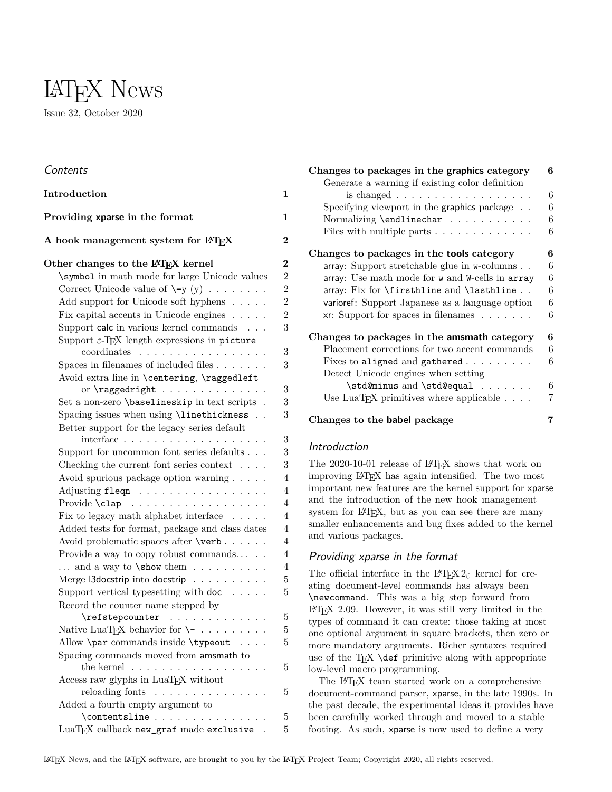

# **Contents**

| Introduction                                                                                                  | 1              |
|---------------------------------------------------------------------------------------------------------------|----------------|
| Providing xparse in the format                                                                                | $\mathbf{1}$   |
| A hook management system for LATFX                                                                            | $\bf{2}$       |
| Other changes to the LAT <sub>F</sub> X kernel                                                                | $\bf{2}$       |
| \symbol in math mode for large Unicode values                                                                 | $\overline{2}$ |
| Correct Unicode value of $\searrow$ $(y)$                                                                     | $\overline{2}$ |
| Add support for Unicode soft hyphens                                                                          | $\overline{2}$ |
| Fix capital accents in Unicode engines $\ldots \ldots$                                                        | $\overline{2}$ |
| Support calc in various kernel commands                                                                       | 3              |
| Support $\varepsilon$ -TEX length expressions in picture                                                      |                |
| coordinates<br>.                                                                                              | 3              |
| Spaces in filenames of included files $\ldots \ldots$                                                         | 3              |
| Avoid extra line in \centering, \raggedleft                                                                   |                |
|                                                                                                               | 3              |
| Set a non-zero \baselineskip in text scripts .                                                                | 3              |
| Spacing issues when using \linethickness                                                                      | 3              |
| Better support for the legacy series default<br>$interface \ldots \ldots \ldots \ldots \ldots \ldots$         | 3              |
| Support for uncommon font series defaults                                                                     | 3              |
| Checking the current font series context $\ldots$ .                                                           | 3              |
| Avoid spurious package option warning                                                                         | $\overline{4}$ |
| Adjusting fleqn                                                                                               | $\overline{4}$ |
| Provide \clap                                                                                                 | $\overline{4}$ |
| Fix to legacy math alphabet interface $\ldots$ .                                                              | $\overline{4}$ |
| Added tests for format, package and class dates                                                               | $\overline{4}$ |
| Avoid problematic spaces after \verb                                                                          | $\overline{4}$ |
| Provide a way to copy robust commands                                                                         | $\overline{4}$ |
| $\dots$ and a way to <b>\show</b> them $\dots \dots$                                                          | $\overline{4}$ |
| Merge <i>Sdocstrip</i> into docstrip                                                                          | 5              |
| Support vertical typesetting with $\text{doc} \dots$ .                                                        | $\overline{5}$ |
| Record the counter name stepped by                                                                            |                |
| \refstepcounter<br>$\mathcal{L}$ , and a set of the set of the set of the $\mathcal{L}$                       | 5              |
| Native LuaT <sub>F</sub> X behavior for $\setminus$ -                                                         | 5              |
| Allow <b>\par</b> commands inside <b>\typeout</b>                                                             | 5              |
| Spacing commands moved from amsmath to                                                                        |                |
| the kernel $\,$<br>$\mathcal{A}$ , and a set of the set of the set of the set of the set of the $\mathcal{A}$ | $\overline{5}$ |
| Access raw glyphs in LuaTEX without                                                                           |                |
| reloading fonts                                                                                               | 5              |
| Added a fourth empty argument to                                                                              |                |
| $\verb+\contentsline     $                                                                                    | 5              |
| LuaT <sub>F</sub> X callback new_graf made exclusive .                                                        | 5              |

| Changes to packages in the graphics category                   | 6 |
|----------------------------------------------------------------|---|
| Generate a warning if existing color definition                |   |
| is changed $\ldots \ldots \ldots \ldots \ldots \ldots$         | 6 |
| Specifying viewport in the graphics package                    | 6 |
| Normalizing \endlinechar                                       | 6 |
|                                                                | 6 |
| Files with multiple parts $\dots \dots \dots \dots$            |   |
| Changes to packages in the tools category                      | 6 |
| array: Support stretchable glue in w-columns                   | 6 |
| array: Use math mode for w and W-cells in array                | 6 |
| array: Fix for $\frac{\text{and}}{\text{lasthline}}$ .         | 6 |
| varioref: Support Japanese as a language option                | 6 |
| $xr: Support for spaces in filenames \ldots \ldots$            | 6 |
| Changes to packages in the amsmath category                    | 6 |
| Placement corrections for two accent commands                  | 6 |
| Fixes to aligned and gathered                                  | 6 |
| Detect Unicode engines when setting                            |   |
| \std@minus and \std@equal                                      | 6 |
|                                                                |   |
| Use LuaT <sub>F</sub> X primitives where applicable $\ldots$ . | 7 |
| Changes to the babel package                                   | 7 |

# <span id="page-0-0"></span>Introduction

The 2020-10-01 release of LAT<sub>EX</sub> shows that work on improving LATEX has again intensified. The two most important new features are the kernel support for xparse and the introduction of the new hook management system for L<sup>AT</sup>EX, but as you can see there are many smaller enhancements and bug fixes added to the kernel and various packages.

# <span id="page-0-1"></span>Providing xparse in the format

The official interface in the L<sup>AT</sup>EX  $2\varepsilon$  kernel for creating document-level commands has always been \newcommand. This was a big step forward from LATEX 2.09. However, it was still very limited in the types of command it can create: those taking at most one optional argument in square brackets, then zero or more mandatory arguments. Richer syntaxes required use of the TEX \def primitive along with appropriate low-level macro programming.

The L<sup>AT</sup>EX team started work on a comprehensive document-command parser, xparse, in the late 1990s. In the past decade, the experimental ideas it provides have been carefully worked through and moved to a stable footing. As such, xparse is now used to define a very

LATEX News, and the LATEX software, are brought to you by the LATEX Project Team; Copyright 2020, all rights reserved.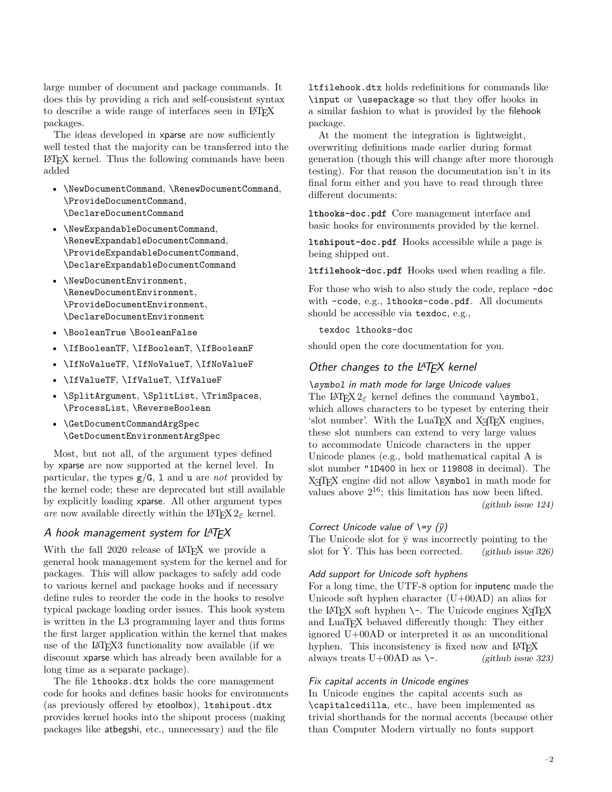large number of document and package commands. It does this by providing a rich and self-consistent syntax to describe a wide range of interfaces seen in LAT<sub>EX</sub> packages.

The ideas developed in xparse are now sufficiently well tested that the majority can be transferred into the LATEX kernel. Thus the following commands have been added

- \NewDocumentCommand, \RenewDocumentCommand, \ProvideDocumentCommand, \DeclareDocumentCommand
- \NewExpandableDocumentCommand, \RenewExpandableDocumentCommand, \ProvideExpandableDocumentCommand, \DeclareExpandableDocumentCommand
- \NewDocumentEnvironment, \RenewDocumentEnvironment, \ProvideDocumentEnvironment, \DeclareDocumentEnvironment
- \BooleanTrue \BooleanFalse
- \IfBooleanTF, \IfBooleanT, \IfBooleanF
- \IfNoValueTF, \IfNoValueT, \IfNoValueF
- \IfValueTF, \IfValueT, \IfValueF
- \SplitArgument, \SplitList, \TrimSpaces, \ProcessList, \ReverseBoolean
- \GetDocumentCommandArgSpec \GetDocumentEnvironmentArgSpec

Most, but not all, of the argument types defined by xparse are now supported at the kernel level. In particular, the types g/G, l and u are *not* provided by the kernel code; these are deprecated but still available by explicitly loading xparse. All other argument types *are* now available directly within the LAT<sub>E</sub>X  $2_{\varepsilon}$  kernel.

# <span id="page-1-0"></span>A hook management system for  $L^{AT}E^{\times}$

With the fall 2020 release of IAT<sub>EX</sub> we provide a general hook management system for the kernel and for packages. This will allow packages to safely add code to various kernel and package hooks and if necessary define rules to reorder the code in the hooks to resolve typical package loading order issues. This hook system is written in the L3 programming layer and thus forms the first larger application within the kernel that makes use of the LAT<sub>EX3</sub> functionality now available (if we discount xparse which has already been available for a long time as a separate package).

The file lthooks.dtx holds the core management code for hooks and defines basic hooks for environments (as previously offered by etoolbox), ltshipout.dtx provides kernel hooks into the shipout process (making packages like atbegshi, etc., unnecessary) and the file

ltfilehook.dtx holds redefinitions for commands like \input or \usepackage so that they offer hooks in a similar fashion to what is provided by the filehook package.

At the moment the integration is lightweight, overwriting definitions made earlier during format generation (though this will change after more thorough testing). For that reason the documentation isn't in its final form either and you have to read through three different documents:

**lthooks-doc.pdf** Core management interface and basic hooks for environments provided by the kernel.

**ltshipout-doc.pdf** Hooks accessible while a page is being shipped out.

**ltfilehook-doc.pdf** Hooks used when reading a file.

For those who wish to also study the code, replace -doc with -code, e.g., lthooks-code.pdf. All documents should be accessible via texdoc, e.g.,

texdoc lthooks-doc

should open the core documentation for you.

# <span id="page-1-1"></span>Other changes to the LATEX kernel

<span id="page-1-2"></span>\symbol in math mode for large Unicode values The LAT<sub>F</sub>X  $2\varepsilon$  kernel defines the command \symbol, which allows characters to be typeset by entering their 'slot number'. With the LuaT<sub>EX</sub> and X<sub>T</sub>T<sub>EX</sub> engines, these slot numbers can extend to very large values to accommodate Unicode characters in the upper Unicode planes (e.g., bold mathematical capital A is slot number "1D400 in hex or 119808 in decimal). The  $X \nsubseteq Y$  engine did not allow  $\sum_{m=1}^{\infty}$  in math mode for values above  $2^{16}$ ; this limitation has now been lifted. [\(github issue 124\)](https://github.com/latex3/latex2e/issues/124)

## <span id="page-1-3"></span>Correct Unicode value of  $\equiv \sqrt{v}$

The Unicode slot for  $\bar{y}$  was incorrectly pointing to the slot for Y. This has been corrected.  $(github issue 326)$ 

## <span id="page-1-4"></span>Add support for Unicode soft hyphens

For a long time, the UTF-8 option for inputenc made the Unicode soft hyphen character (U+00AD) an alias for the LAT<sub>E</sub>X soft hyphen  $\setminus$ -. The Unicode engines X<sub>T</sub>T<sub>E</sub>X and LuaT<sub>E</sub>X behaved differently though: They either ignored U+00AD or interpreted it as an unconditional hyphen. This inconsistency is fixed now and  $L^{AT}EX$ <br>always treats U+00AD as \-. (github issue 323) always treats U+00AD as  $\setminus$ -.

## <span id="page-1-5"></span>Fix capital accents in Unicode engines

In Unicode engines the capital accents such as \capitalcedilla, etc., have been implemented as trivial shorthands for the normal accents (because other than Computer Modern virtually no fonts support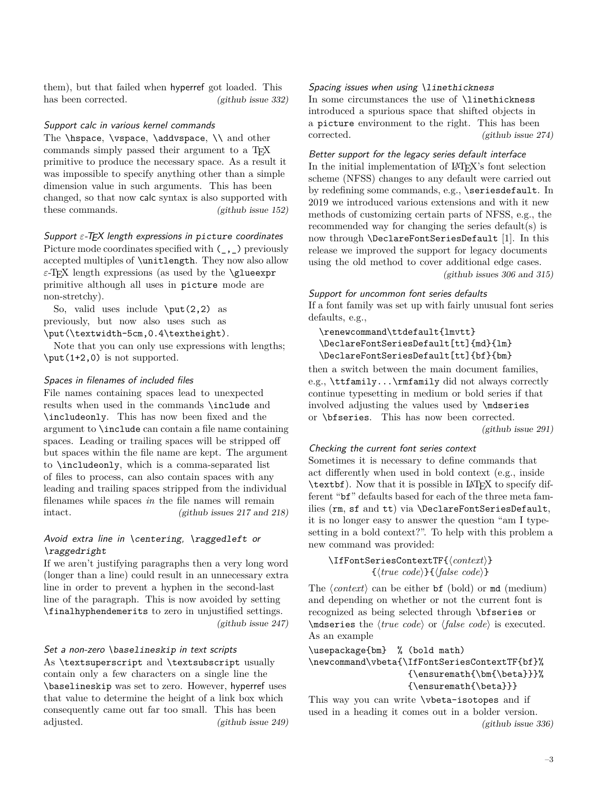them), but that failed when hyperref got loaded. This has been corrected. [\(github issue 332\)](https://github.com/latex3/latex2e/issues/332)

### <span id="page-2-0"></span>Support calc in various kernel commands

The \hspace, \vspace, \addvspace, \\ and other commands simply passed their argument to a TEX primitive to produce the necessary space. As a result it was impossible to specify anything other than a simple dimension value in such arguments. This has been changed, so that now calc syntax is also supported with these commands. [\(github issue 152\)](https://github.com/latex3/latex2e/issues/152)

### <span id="page-2-1"></span>Support  $ε$ -T<sub>E</sub>X length expressions in picture coordinates

Picture mode coordinates specified with  $(\_$ ,  $)$  previously accepted multiples of \unitlength. They now also allow *ε*-TEX length expressions (as used by the \glueexpr primitive although all uses in picture mode are non-stretchy).

So, valid uses include  $\put(2,2)$  as previously, but now also uses such as \put(\textwidth-5cm,0.4\textheight).

Note that you can only use expressions with lengths; \put(1+2,0) is not supported.

### <span id="page-2-2"></span>Spaces in filenames of included files

File names containing spaces lead to unexpected results when used in the commands \include and \includeonly. This has now been fixed and the argument to \include can contain a file name containing spaces. Leading or trailing spaces will be stripped off but spaces within the file name are kept. The argument to \includeonly, which is a comma-separated list of files to process, can also contain spaces with any leading and trailing spaces stripped from the individual filenames while spaces *in* the file names will remain intact. [\(github issues 217 and 218\)](https://github.com/latex3/latex2e/issues/217)

# <span id="page-2-3"></span>Avoid extra line in \centering, \raggedleft or \raggedright

If we aren't justifying paragraphs then a very long word (longer than a line) could result in an unnecessary extra line in order to prevent a hyphen in the second-last line of the paragraph. This is now avoided by setting \finalhyphendemerits to zero in unjustified settings. [\(github issue 247\)](https://github.com/latex3/latex2e/issues/247)

# <span id="page-2-4"></span>Set a non-zero \baselineskip in text scripts

As \textsuperscript and \textsubscript usually contain only a few characters on a single line the \baselineskip was set to zero. However, hyperref uses that value to determine the height of a link box which consequently came out far too small. This has been adjusted. [\(github issue 249\)](https://github.com/latex3/latex2e/issues/249) <span id="page-2-5"></span>Spacing issues when using \linethickness In some circumstances the use of \linethickness introduced a spurious space that shifted objects in a picture environment to the right. This has been corrected. [\(github issue 274\)](https://github.com/latex3/latex2e/issues/274)

# <span id="page-2-6"></span>Better support for the legacy series default interface In the initial implementation of IATEX's font selection scheme (NFSS) changes to any default were carried out by redefining some commands, e.g., \seriesdefault. In 2019 we introduced various extensions and with it new methods of customizing certain parts of NFSS, e.g., the recommended way for changing the series default(s) is now through \DeclareFontSeriesDefault [\[1\]](#page-6-2). In this release we improved the support for legacy documents using the old method to cover additional edge cases. [\(github issues 306 and 315\)](https://github.com/latex3/latex2e/issues/306)

## <span id="page-2-7"></span>Support for uncommon font series defaults

If a font family was set up with fairly unusual font series defaults, e.g.,

# \renewcommand\ttdefault{lmvtt} \DeclareFontSeriesDefault[tt]{md}{lm} \DeclareFontSeriesDefault[tt]{bf}{bm}

then a switch between the main document families, e.g., \ttfamily...\rmfamily did not always correctly continue typesetting in medium or bold series if that involved adjusting the values used by \mdseries or \bfseries. This has now been corrected. [\(github issue 291\)](https://github.com/latex3/latex2e/issues/291)

### <span id="page-2-8"></span>Checking the current font series context

Sometimes it is necessary to define commands that act differently when used in bold context (e.g., inside \textbf). Now that it is possible in LATEX to specify different "bf" defaults based for each of the three meta families (rm, sf and tt) via \DeclareFontSeriesDefault, it is no longer easy to answer the question "am I typesetting in a bold context?". To help with this problem a new command was provided:

\IfFontSeriesContextTF{⟨*context*⟩} {⟨*true code*⟩}{⟨*false code*⟩}

The  $\langle context \rangle$  can be either **bf** (bold) or **md** (medium) and depending on whether or not the current font is recognized as being selected through \bfseries or \mdseries the ⟨*true code*⟩ or ⟨*false code*⟩ is executed. As an example

# \usepackage{bm} % (bold math) \newcommand\vbeta{\IfFontSeriesContextTF{bf}% {\ensuremath{\bm{\beta}}}% {\ensuremath{\beta}}}

This way you can write \vbeta-isotopes and if used in a heading it comes out in a bolder version. [\(github issue 336\)](https://github.com/latex3/latex2e/issues/336)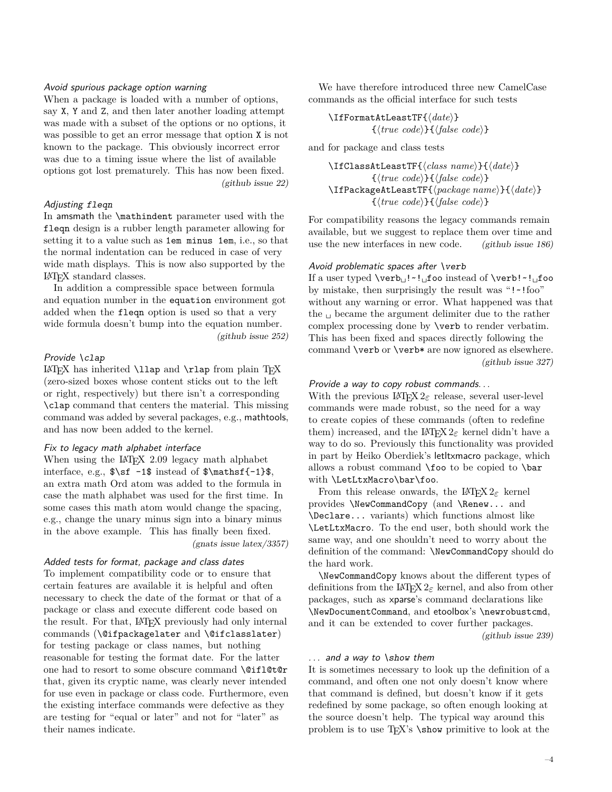### <span id="page-3-0"></span>Avoid spurious package option warning

When a package is loaded with a number of options, say X, Y and Z, and then later another loading attempt was made with a subset of the options or no options, it was possible to get an error message that option X is not known to the package. This obviously incorrect error was due to a timing issue where the list of available options got lost prematurely. This has now been fixed. [\(github issue 22\)](https://github.com/latex3/latex2e/issues/22)

#### <span id="page-3-1"></span>Adjusting fleqn

In amsmath the \mathindent parameter used with the fleqn design is a rubber length parameter allowing for setting it to a value such as 1em minus 1em, i.e., so that the normal indentation can be reduced in case of very wide math displays. This is now also supported by the LATEX standard classes.

In addition a compressible space between formula and equation number in the equation environment got added when the fleqn option is used so that a very wide formula doesn't bump into the equation number. [\(github issue 252\)](https://github.com/latex3/latex2e/issues/252)

#### <span id="page-3-2"></span>Provide \clap

LATEX has inherited  $\langle \rangle$  and  $\langle \rangle$  from plain TEX (zero-sized boxes whose content sticks out to the left or right, respectively) but there isn't a corresponding \clap command that centers the material. This missing command was added by several packages, e.g., mathtools, and has now been added to the kernel.

#### <span id="page-3-3"></span>Fix to legacy math alphabet interface

When using the LAT<sub>E</sub>X 2.09 legacy math alphabet interface, e.g.,  $\sf s\sf -1\$  instead of  $\mathsf{s\mathsf{-1}\$ , an extra math Ord atom was added to the formula in case the math alphabet was used for the first time. In some cases this math atom would change the spacing, e.g., change the unary minus sign into a binary minus in the above example. This has finally been fixed. [\(gnats issue latex/3357\)](https://www.latex-project.org/cgi-bin/ltxbugs2html?pr=latex%2F3357)

#### <span id="page-3-4"></span>Added tests for format, package and class dates

To implement compatibility code or to ensure that certain features are available it is helpful and often necessary to check the date of the format or that of a package or class and execute different code based on the result. For that, LATEX previously had only internal commands (\@ifpackagelater and \@ifclasslater) for testing package or class names, but nothing reasonable for testing the format date. For the latter one had to resort to some obscure command \@ifl@t@r that, given its cryptic name, was clearly never intended for use even in package or class code. Furthermore, even the existing interface commands were defective as they are testing for "equal or later" and not for "later" as their names indicate.

We have therefore introduced three new CamelCase commands as the official interface for such tests

\IfFormatAtLeastTF{⟨*date*⟩} {⟨*true code*⟩}{⟨*false code*⟩}

and for package and class tests

```
\IfClassAtLeastTF{⟨class name⟩}{⟨date⟩}
         {⟨true code⟩}{⟨false code⟩}
\IfPackageAtLeastTF{⟨package name⟩}{⟨date⟩}
         {⟨true code⟩}{⟨false code⟩}
```
For compatibility reasons the legacy commands remain available, but we suggest to replace them over time and use the new interfaces in new code. [\(github issue 186\)](https://github.com/latex3/latex2e/issues/186)

#### <span id="page-3-5"></span>Avoid problematic spaces after \verb

If a user typed \verb␣!~!␣foo instead of \verb!~!␣foo by mistake, then surprisingly the result was "!~!foo" without any warning or error. What happened was that the  $\Box$  became the argument delimiter due to the rather complex processing done by \verb to render verbatim. This has been fixed and spaces directly following the command **\verb** or **\verb\*** are now ignored as elsewhere. [\(github issue 327\)](https://github.com/latex3/latex2e/issues/327)

### <span id="page-3-6"></span>Provide a way to copy robust commands...

With the previous  $\text{LATEX} 2_{\epsilon}$  release, several user-level commands were made robust, so the need for a way to create copies of these commands (often to redefine them) increased, and the  $\text{LATEX} 2_{\epsilon}$  kernel didn't have a way to do so. Previously this functionality was provided in part by Heiko Oberdiek's letltxmacro package, which allows a robust command  $\text{ too}$  to be copied to  $\bar{a}$ with \LetLtxMacro\bar\foo.

From this release onwards, the LAT<sub>E</sub>X  $2\varepsilon$  kernel provides \NewCommandCopy (and \Renew... and \Declare... variants) which functions almost like \LetLtxMacro. To the end user, both should work the same way, and one shouldn't need to worry about the definition of the command: \NewCommandCopy should do the hard work.

\NewCommandCopy knows about the different types of definitions from the  $\text{LATEX} 2\varepsilon$  kernel, and also from other packages, such as xparse's command declarations like \NewDocumentCommand, and etoolbox's \newrobustcmd, and it can be extended to cover further packages. [\(github issue 239\)](https://github.com/latex3/latex2e/issues/239)

#### <span id="page-3-7"></span> $\ldots$  and a way to \show them

It is sometimes necessary to look up the definition of a command, and often one not only doesn't know where that command is defined, but doesn't know if it gets redefined by some package, so often enough looking at the source doesn't help. The typical way around this problem is to use TEX's \show primitive to look at the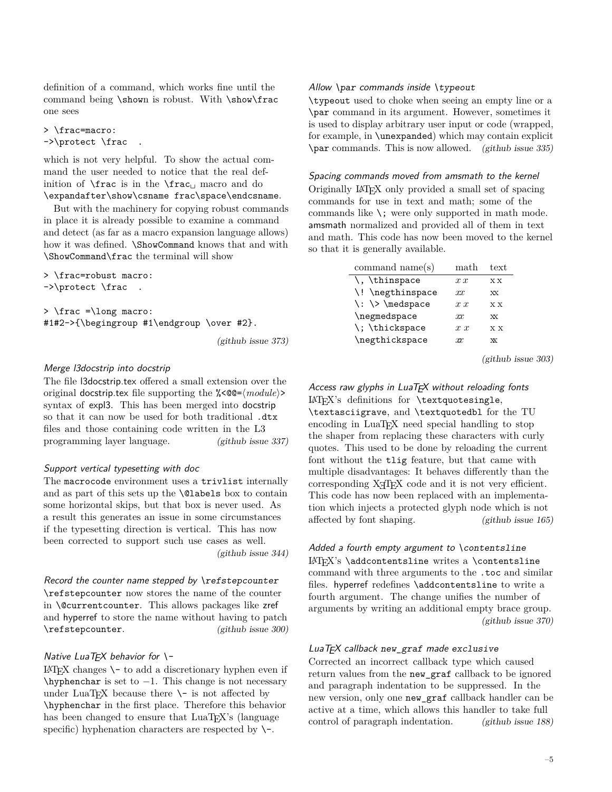definition of a command, which works fine until the command being \shown is robust. With \show\frac one sees

```
> \frac=macro:
->\protect \frac .
```
which is not very helpful. To show the actual command the user needed to notice that the real definition of  $\frac{is}{in the \frac{mac_i}{macc_0}}$  and do \expandafter\show\csname frac\space\endcsname.

But with the machinery for copying robust commands in place it is already possible to examine a command and detect (as far as a macro expansion language allows) how it was defined. \ShowCommand knows that and with \ShowCommand\frac the terminal will show

> \frac=robust macro: ->\protect \frac .

> \frac =\long macro: #1#2->{\begingroup #1\endgroup \over #2}.

[\(github issue 373\)](https://github.com/latex3/latex2e/issues/373)

# <span id="page-4-0"></span>Merge l3docstrip into docstrip

The file l3docstrip.tex offered a small extension over the original docstrip.tex file supporting the %<00= $\langle \textit{module} \rangle$ > syntax of expl3. This has been merged into docstrip so that it can now be used for both traditional .dtx files and those containing code written in the L3 programming layer language. [\(github issue 337\)](https://github.com/latex3/latex2e/issues/337)

# <span id="page-4-1"></span>Support vertical typesetting with doc

The macrocode environment uses a trivlist internally and as part of this sets up the \@labels box to contain some horizontal skips, but that box is never used. As a result this generates an issue in some circumstances if the typesetting direction is vertical. This has now been corrected to support such use cases as well. [\(github issue 344\)](https://github.com/latex3/latex2e/issues/344)

<span id="page-4-2"></span>Record the counter name stepped by \refstepcounter \refstepcounter now stores the name of the counter in \@currentcounter. This allows packages like zref and hyperref to store the name without having to patch \refstepcounter. [\(github issue 300\)](https://github.com/latex3/latex2e/issues/300)

## <span id="page-4-3"></span>Native LuaTFX behavior for  $\vdash$

 $\text{LATEX}$  changes  $\setminus$  to add a discretionary hyphen even if \hyphenchar is set to −1. This change is not necessary under LuaT<sub>E</sub>X because there  $\setminus$ - is not affected by \hyphenchar in the first place. Therefore this behavior has been changed to ensure that LuaT<sub>EX</sub>'s (language specific) hyphenation characters are respected by  $\setminus$ -.

### <span id="page-4-4"></span>Allow \par commands inside \typeout

\typeout used to choke when seeing an empty line or a \par command in its argument. However, sometimes it is used to display arbitrary user input or code (wrapped, for example, in \unexpanded) which may contain explicit \par commands. This is now allowed. [\(github issue 335\)](https://github.com/latex3/latex2e/issues/335)

<span id="page-4-5"></span>Spacing commands moved from amsmath to the kernel Originally LATEX only provided a small set of spacing commands for use in text and math; some of the commands like  $\chi$ ; were only supported in math mode. amsmath normalized and provided all of them in text and math. This code has now been moved to the kernel so that it is generally available.

| command $name(s)$                                                       | $\operatorname{math}$ | text         |
|-------------------------------------------------------------------------|-----------------------|--------------|
| \, \thinspace                                                           | x x                   | хx           |
| \! \negthinspace                                                        | $_{xx}$               | <b>XX</b>    |
| $\langle \cdot \rangle$ $\langle \cdot \rangle$ $\langle \cdot \rangle$ | x x                   | X X          |
| \negmedspace                                                            | m.                    | <b>XX</b>    |
| \; \thickspace                                                          | x x                   | <b>XX</b>    |
| \negthickspace                                                          | xx                    | $\mathbf{X}$ |

[\(github issue 303\)](https://github.com/latex3/latex2e/issues/303)

<span id="page-4-6"></span>Access raw glyphs in  $LuaT$ <sub> $FX$ </sub> without reloading fonts LATEX's definitions for \textquotesingle, \textasciigrave, and \textquotedbl for the TU encoding in LuaT<sub>E</sub>X need special handling to stop the shaper from replacing these characters with curly quotes. This used to be done by reloading the current font without the tlig feature, but that came with multiple disadvantages: It behaves differently than the  $corresponding X<sub>T</sub>T<sub>F</sub>X code and it is not very efficient.$ This code has now been replaced with an implementation which injects a protected glyph node which is not affected by font shaping. [\(github issue 165\)](https://github.com/latex3/latex2e/issues/165)

<span id="page-4-7"></span>Added a fourth empty argument to \contentsline LATEX's \addcontentsline writes a \contentsline command with three arguments to the .toc and similar files. hyperref redefines \addcontentsline to write a fourth argument. The change unifies the number of arguments by writing an additional empty brace group. [\(github issue 370\)](https://github.com/latex3/latex2e/issues/370)

# <span id="page-4-8"></span>LuaTEX callback new\_graf made exclusive

Corrected an incorrect callback type which caused return values from the new\_graf callback to be ignored and paragraph indentation to be suppressed. In the new version, only one new\_graf callback handler can be active at a time, which allows this handler to take full control of paragraph indentation. [\(github issue 188\)](https://github.com/latex3/latex2e/issues/188)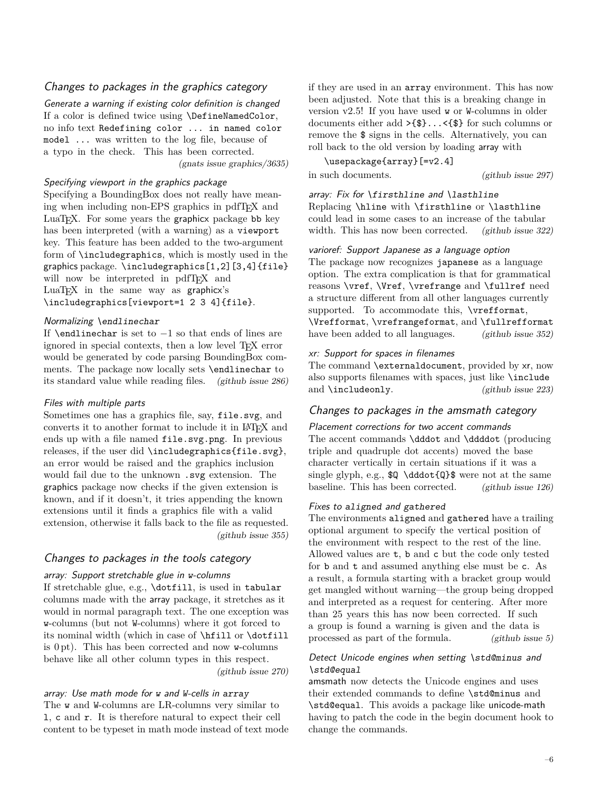# <span id="page-5-0"></span>Changes to packages in the graphics category

<span id="page-5-1"></span>Generate a warning if existing color definition is changed If a color is defined twice using \DefineNamedColor, no info text Redefining color ... in named color model ... was written to the log file, because of a typo in the check. This has been corrected. [\(gnats issue graphics/3635\)](https://www.latex-project.org/cgi-bin/ltxbugs2html?pr=graphics%2F3635)

## <span id="page-5-2"></span>Specifying viewport in the graphics package

Specifying a BoundingBox does not really have meaning when including non-EPS graphics in pdfTEX and LuaT<sub>EX</sub>. For some years the graphicx package bb key has been interpreted (with a warning) as a viewport key. This feature has been added to the two-argument form of \includegraphics, which is mostly used in the graphics package. \includegraphics[1,2][3,4]{file} will now be interpreted in pdfT<sub>E</sub>X and LuaT<sub>EX</sub> in the same way as graphicx's \includegraphics[viewport=1 2 3 4]{file}.

#### <span id="page-5-3"></span>Normalizing \endlinechar

If \endlinechar is set to  $-1$  so that ends of lines are ignored in special contexts, then a low level T<sub>EX</sub> error would be generated by code parsing BoundingBox comments. The package now locally sets \endlinechar to its standard value while reading files. [\(github issue 286\)](https://github.com/latex3/latex2e/issues/286)

#### <span id="page-5-4"></span>Files with multiple parts

Sometimes one has a graphics file, say, file.svg, and converts it to another format to include it in LATEX and ends up with a file named file.svg.png. In previous releases, if the user did \includegraphics{file.svg}, an error would be raised and the graphics inclusion would fail due to the unknown .svg extension. The graphics package now checks if the given extension is known, and if it doesn't, it tries appending the known extensions until it finds a graphics file with a valid extension, otherwise it falls back to the file as requested. [\(github issue 355\)](https://github.com/latex3/latex2e/issues/355)

# <span id="page-5-5"></span>Changes to packages in the tools category

### <span id="page-5-6"></span>array: Support stretchable glue in w-columns

If stretchable glue, e.g., \dotfill, is used in tabular columns made with the array package, it stretches as it would in normal paragraph text. The one exception was w-columns (but not W-columns) where it got forced to its nominal width (which in case of \hfill or \dotfill is 0 pt). This has been corrected and now w-columns behave like all other column types in this respect. [\(github issue 270\)](https://github.com/latex3/latex2e/issues/270)

# <span id="page-5-7"></span>array: Use math mode for w and W-cells in array The w and W-columns are LR-columns very similar to l, c and r. It is therefore natural to expect their cell content to be typeset in math mode instead of text mode

if they are used in an array environment. This has now been adjusted. Note that this is a breaking change in version v2.5! If you have used w or W-columns in older documents either add >{\$}...<{\$} for such columns or remove the \$ signs in the cells. Alternatively, you can roll back to the old version by loading array with

\usepackage{array}[=v2.4]

in such documents. [\(github issue 297\)](https://github.com/latex3/latex2e/issues/297)

## <span id="page-5-8"></span>array: Fix for \firsthline and \lasthline

Replacing \hline with \firsthline or \lasthline could lead in some cases to an increase of the tabular width. This has now been corrected. [\(github issue 322\)](https://github.com/latex3/latex2e/issues/322)

#### <span id="page-5-9"></span>varioref: Support Japanese as a language option

The package now recognizes japanese as a language option. The extra complication is that for grammatical reasons \vref, \Vref, \vrefrange and \fullref need a structure different from all other languages currently supported. To accommodate this, \vrefformat, \Vrefformat, \vrefrangeformat, and \fullrefformat have been added to all languages. [\(github issue 352\)](https://github.com/latex3/latex2e/issues/352)

#### <span id="page-5-10"></span>xr: Support for spaces in filenames

The command **\externaldocument**, provided by xr, now also supports filenames with spaces, just like \include and \includeonly. [\(github issue 223\)](https://github.com/latex3/latex2e/issues/223)

# <span id="page-5-11"></span>Changes to packages in the amsmath category

#### <span id="page-5-12"></span>Placement corrections for two accent commands

The accent commands \dddot and \ddddot (producing triple and quadruple dot accents) moved the base character vertically in certain situations if it was a single glyph, e.g.,  $Q \ddot{\ddot{\theta}}$  were not at the same baseline. This has been corrected. [\(github issue 126\)](https://github.com/latex3/latex2e/issues/126)

### <span id="page-5-13"></span>Fixes to aligned and gathered

The environments aligned and gathered have a trailing optional argument to specify the vertical position of the environment with respect to the rest of the line. Allowed values are t, b and c but the code only tested for b and t and assumed anything else must be c. As a result, a formula starting with a bracket group would get mangled without warning—the group being dropped and interpreted as a request for centering. After more than 25 years this has now been corrected. If such a group is found a warning is given and the data is processed as part of the formula. [\(github issue 5\)](https://github.com/latex3/latex2e/issues/5)

# <span id="page-5-14"></span>Detect Unicode engines when setting \std@minus and \std@equal

amsmath now detects the Unicode engines and uses their extended commands to define \std@minus and \std@equal. This avoids a package like unicode-math having to patch the code in the begin document hook to change the commands.